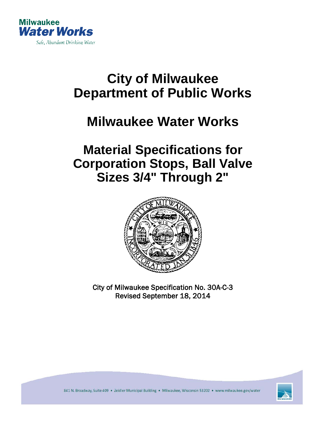

# **City of Milwaukee Department of Public Works**

## **Milwaukee Water Works**

### **Material Specifications for Corporation Stops, Ball Valve Sizes 3/4" Through 2"**



City of Milwaukee Specification No. 30A-C-3 Revised September 18, 2014



841 N. Broadway, Suite 409 · Zeidler Municipal Building · Milwaukee, Wisconsin 53202 · www.milwaukee.gov/water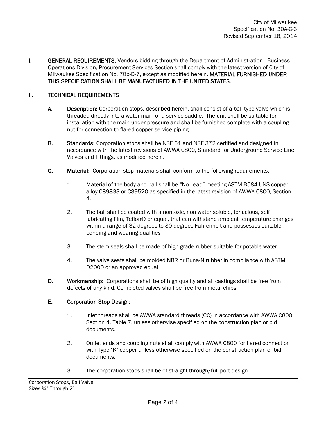**I.** GENERAL REQUIREMENTS: Vendors bidding through the Department of Administration - Business Operations Division, Procurement Services Section shall comply with the latest version of City of Milwaukee Specification No. 70b-D-7, except as modified herein. MATERIAL FURNISHED UNDER THIS SPECIFICATION SHALL BE MANUFACTURED IN THE UNITED STATES.

#### II. TECHNICAL REQUIREMENTS

- A. Description: Corporation stops, described herein, shall consist of a ball type valve which is threaded directly into a water main or a service saddle. The unit shall be suitable for installation with the main under pressure and shall be furnished complete with a coupling nut for connection to flared copper service piping.
- B. Standards: Corporation stops shall be NSF 61 and NSF 372 certified and designed in accordance with the latest revisions of AWWA C800, Standard for Underground Service Line Valves and Fittings, as modified herein.
- C. Material: Corporation stop materials shall conform to the following requirements:
	- 1. Material of the body and ball shall be "No Lead" meeting ASTM B584 UNS copper alloy C89833 or C89520 as specified in the latest revision of AWWA C800, Section 4.
	- 2. The ball shall be coated with a nontoxic, non water soluble, tenacious, self lubricating film, Teflon® or equal, that can withstand ambient temperature changes within a range of 32 degrees to 80 degrees Fahrenheit and possesses suitable bonding and wearing qualities
	- 3. The stem seals shall be made of high-grade rubber suitable for potable water.
	- 4. The valve seats shall be molded NBR or Buna-N rubber in compliance with ASTM D2000 or an approved equal.
- D. Workmanship: Corporations shall be of high quality and all castings shall be free from defects of any kind. Completed valves shall be free from metal chips.

#### E. Corporation Stop Design:

- 1. Inlet threads shall be AWWA standard threads (CC) in accordance with AWWA C800, Section 4, Table 7, unless otherwise specified on the construction plan or bid documents.
- 2. Outlet ends and coupling nuts shall comply with AWWA C800 for flared connection with Type "K" copper unless otherwise specified on the construction plan or bid documents.
- 3. The corporation stops shall be of straight-through/full port design.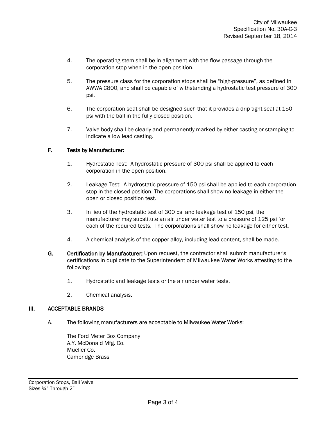- 4. The operating stem shall be in alignment with the flow passage through the corporation stop when in the open position.
- 5. The pressure class for the corporation stops shall be "high-pressure", as defined in AWWA C800, and shall be capable of withstanding a hydrostatic test pressure of 300 psi.
- 6. The corporation seat shall be designed such that it provides a drip tight seal at 150 psi with the ball in the fully closed position.
- 7. Valve body shall be clearly and permanently marked by either casting or stamping to indicate a low lead casting.

### F. Tests by Manufacturer:

- 1. Hydrostatic Test: A hydrostatic pressure of 300 psi shall be applied to each corporation in the open position.
- 2. Leakage Test: A hydrostatic pressure of 150 psi shall be applied to each corporation stop in the closed position. The corporations shall show no leakage in either the open or closed position test.
- 3. In lieu of the hydrostatic test of 300 psi and leakage test of 150 psi, the manufacturer may substitute an air under water test to a pressure of 125 psi for each of the required tests. The corporations shall show no leakage for either test.
- 4. A chemical analysis of the copper alloy, including lead content, shall be made.
- G. Certification by Manufacturer: Upon request, the contractor shall submit manufacturer's certifications in duplicate to the Superintendent of Milwaukee Water Works attesting to the following:
	- 1. Hydrostatic and leakage tests or the air under water tests.
	- 2. Chemical analysis.

#### III. ACCEPTABLE BRANDS

A. The following manufacturers are acceptable to Milwaukee Water Works:

The Ford Meter Box Company A.Y. McDonald Mfg. Co. Mueller Co. Cambridge Brass